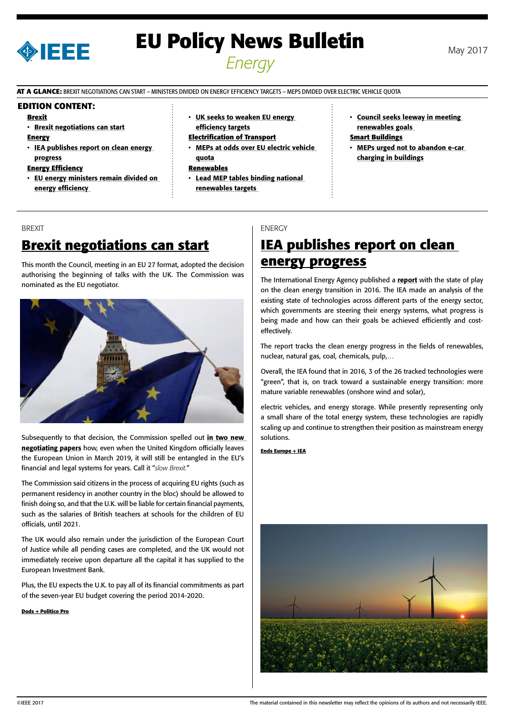

# **EU Policy News Bulletin** May 2017 *Energy*

**AT A GLANCE:** BREXIT NEGOTIATIONS CAN START – MINISTERS DIVIDED ON ENERGY EFFICIENCY TARGETS – MEPS DIVIDED OVER ELECTRIC VEHICLE QUOTA

### **EDITION CONTENT:**

#### **Brexit**

- Brexit negotiations can start
- **Energy**
- IEA publishes report on clean energy progress

#### **Energy Efficiency**

• [EU energy ministers remain divided on](#page-1-0)  energy efficiency

| UK seeks to weaken EU energy |
|------------------------------|
| efficiency targets           |

- **Electrification of Transport**
- [MEPs at odds over EU electric vehicle](#page-1-0)  [quota](#page-1-0)

#### **Renewables**

- **Lead MEP tables binding national** [renewables targets](#page-2-0)
- [Council seeks leeway in meeting](#page-2-0)  [renewables goals](#page-2-0)

### **Smart Buildings**

• [MEPs urged not to abandon e-car](#page-2-0)  [charging in buildings](#page-2-0)

#### BREXIT

## **Brexit negotiations can start**

This month the Council, meeting in an EU 27 format, adopted the decision authorising the beginning of talks with the UK. The Commission was nominated as the EU negotiator.



Subsequently to that decision, the Commission spelled out in two new [negotiating papers](https://ec.europa.eu/commission/publications/draft-eu-position-papers-article-50-negotiations_en) how, even when the United Kingdom officially leaves the European Union in March 2019, it will still be entangled in the EU's financial and legal systems for years. Call it "*slow Brexit.*"

The Commission said citizens in the process of acquiring EU rights (such as permanent residency in another country in the bloc) should be allowed to finish doing so, and that the U.K. will be liable for certain financial payments, such as the salaries of British teachers at schools for the children of EU officials, until 2021.

The UK would also remain under the jurisdiction of the European Court of Justice while all pending cases are completed, and the UK would not immediately receive upon departure all the capital it has supplied to the European Investment Bank.

Plus, the EU expects the U.K. to pay all of its financial commitments as part of the seven-year EU budget covering the period 2014-2020.

#### **Dods + Politico Pro**

## ENERGY

## **IEA publishes report on clean energy progress**

The International Energy Agency published a [report](http://www.iea.org/publications/freepublications/publication/TrackingCleanEnergyProgress2017.pdf) with the state of play on the clean energy transition in 2016. The IEA made an analysis of the existing state of technologies across different parts of the energy sector, which governments are steering their energy systems, what progress is being made and how can their goals be achieved efficiently and costeffectively.

The report tracks the clean energy progress in the fields of renewables, nuclear, natural gas, coal, chemicals, pulp,…

Overall, the IEA found that in 2016, 3 of the 26 tracked technologies were "green", that is, on track toward a sustainable energy transition: more mature variable renewables (onshore wind and solar),

electric vehicles, and energy storage. While presently representing only a small share of the total energy system, these technologies are rapidly scaling up and continue to strengthen their position as mainstream energy solutions.

**Ends Europe + IEA**

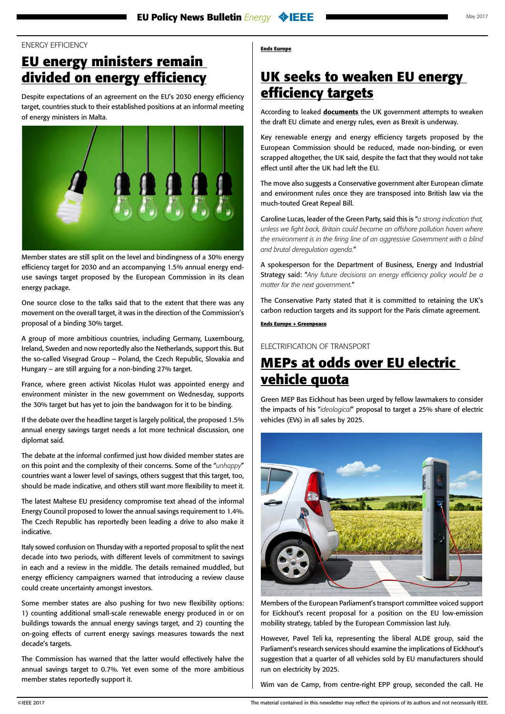### <span id="page-1-0"></span>ENERGY EFFICIENCY

## **EU energy ministers remain divided on energy efficiency**

Despite expectations of an agreement on the EU's 2030 energy efficiency target, countries stuck to their established positions at an informal meeting of energy ministers in Malta.



Member states are still split on the level and bindingness of a 30% energy efficiency target for 2030 and an accompanying 1.5% annual energy enduse savings target proposed by the European Commission in its clean energy package.

One source close to the talks said that to the extent that there was any movement on the overall target, it was in the direction of the Commission's proposal of a binding 30% target.

A group of more ambitious countries, including Germany, Luxembourg, Ireland, Sweden and now reportedly also the Netherlands, support this. But the so-called Visegrad Group – Poland, the Czech Republic, Slovakia and Hungary – are still arguing for a non-binding 27% target.

France, where green activist Nicolas Hulot was appointed energy and environment minister in the new government on Wednesday, supports the 30% target but has yet to join the bandwagon for it to be binding.

If the debate over the headline target is largely political, the proposed 1.5% annual energy savings target needs a lot more technical discussion, one diplomat said.

The debate at the informal confirmed just how divided member states are on this point and the complexity of their concerns. Some of the "*unhappy*" countries want a lower level of savings, others suggest that this target, too, should be made indicative, and others still want more flexibility to meet it.

The latest Maltese EU presidency compromise text ahead of the informal Energy Council proposed to lower the annual savings requirement to 1.4%. The Czech Republic has reportedly been leading a drive to also make it indicative.

Italy sowed confusion on Thursday with a reported proposal to split the next decade into two periods, with different levels of commitment to savings in each and a review in the middle. The details remained muddled, but energy efficiency campaigners warned that introducing a review clause could create uncertainty amongst investors.

Some member states are also pushing for two new flexibility options: 1) counting additional small-scale renewable energy produced in or on buildings towards the annual energy savings target, and 2) counting the on-going effects of current energy savings measures towards the next decade's targets.

The Commission has warned that the latter would effectively halve the annual savings target to 0.7%. Yet even some of the more ambitious member states reportedly support it.

**Ends Europe**

## **UK seeks to weaken EU energy efficiency targets**

According to leaked **[documents](https://drive.google.com/drive/folders/0BybQJpiBe0srM0Q1RGlUbVdIcUk?usp=sharing)** the UK government attempts to weaken the draft EU climate and energy rules, even as Brexit is underway.

Key renewable energy and energy efficiency targets proposed by the European Commission should be reduced, made non-binding, or even scrapped altogether, the UK said, despite the fact that they would not take effect until after the UK had left the EU.

The move also suggests a Conservative government alter European climate and environment rules once they are transposed into British law via the much-touted Great Repeal Bill.

Caroline Lucas, leader of the Green Party, said this is "*a strong indication that, unless we fight back, Britain could become an offshore pollution haven where the environment is in the firing line of an aggressive Government with a blind and brutal deregulation agenda.*"

A spokesperson for the Department of Business, Energy and Industrial Strategy said: "*Any future decisions on energy efficiency policy would be a matter for the next government.*"

The Conservative Party stated that it is committed to retaining the UK's carbon reduction targets and its support for the Paris climate agreement.

**Ends Europe + Greenpeace**

### ELECTRIFICATION OF TRANSPORT

## **MEPs at odds over EU electric vehicle quota**

Green MEP Bas Eickhout has been urged by fellow lawmakers to consider the impacts of his "*ideological*" proposal to target a 25% share of electric vehicles (EVs) in all sales by 2025.



Members of the European Parliament's transport committee voiced support for Eickhout's recent proposal for a position on the EU low-emission mobility strategy, tabled by the European Commission last July.

However, Pavel Teli ka, representing the liberal ALDE group, said the Parliament's research services should examine the implications of Eickhout's suggestion that a quarter of all vehicles sold by EU manufacturers should run on electricity by 2025.

Wim van de Camp, from centre-right EPP group, seconded the call. He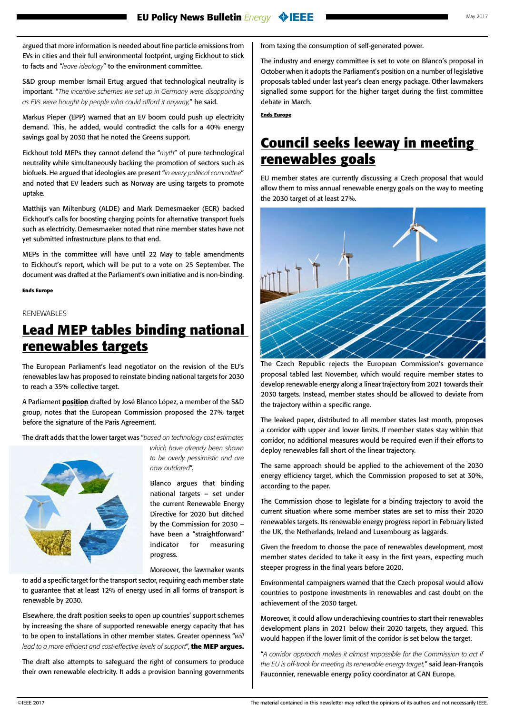<span id="page-2-0"></span>argued that more information is needed about fine particle emissions from EVs in cities and their full environmental footprint, urging Eickhout to stick to facts and "*leave ideology*" to the environment committee.

S&D group member Ismail Ertug argued that technological neutrality is important. "*The incentive schemes we set up in Germany were disappointing as EVs were bought by people who could afford it anyway,*" he said.

Markus Pieper (EPP) warned that an EV boom could push up electricity demand. This, he added, would contradict the calls for a 40% energy savings goal by 2030 that he noted the Greens support.

Eickhout told MEPs they cannot defend the "*myth*" of pure technological neutrality while simultaneously backing the promotion of sectors such as biofuels. He argued that ideologies are present "*in every political committee*" and noted that EV leaders such as Norway are using targets to promote uptake.

Matthijs van Miltenburg (ALDE) and Mark Demesmaeker (ECR) backed Eickhout's calls for boosting charging points for alternative transport fuels such as electricity. Demesmaeker noted that nine member states have not yet submitted infrastructure plans to that end.

MEPs in the committee will have until 22 May to table amendments to Eickhout's report, which will be put to a vote on 25 September. The document was drafted at the Parliament's own initiative and is non-binding.

#### **Ends Europe**

### RENEWABLES

## **Lead MEP tables binding national renewables targets**

The European Parliament's lead negotiator on the revision of the EU's renewables law has proposed to reinstate binding national targets for 2030 to reach a 35% collective target.

A Parliament [position](http://www.politico.eu/wp-content/uploads/2017/05/Renewables_draft_report.pdf?utm_source=POLITICO.EU&utm_campaign=a586085f04-EMAIL_CAMPAIGN_2017_05_22&utm_medium=email&utm_term=0_10959edeb5-a586085f04-189712741) drafted by José Blanco López, a member of the S&D group, notes that the European Commission proposed the 27% target before the signature of the Paris Agreement.

The draft adds that the lower target was "*based on technology cost estimates* 



*which have already been shown to be overly pessimistic and are now outdated*".

Blanco argues that binding national targets – set under the current Renewable Energy Directive for 2020 but ditched by the Commission for 2030 – have been a "straightforward" indicator for measuring progress.

Moreover, the lawmaker wants

to add a specific target for the transport sector, requiring each member state to guarantee that at least 12% of energy used in all forms of transport is renewable by 2030.

Elsewhere, the draft position seeks to open up countries' support schemes by increasing the share of supported renewable energy capacity that has to be open to installations in other member states. Greater openness "*will lead to a more efficient and cost-effective levels of support*", **the MEP argues.**

The draft also attempts to safeguard the right of consumers to produce their own renewable electricity. It adds a provision banning governments from taxing the consumption of self-generated power.

The industry and energy committee is set to vote on Blanco's proposal in October when it adopts the Parliament's position on a number of legislative proposals tabled under last year's clean energy package. Other lawmakers signalled some support for the higher target during the first committee debate in March.

**Ends Europe**

## **Council seeks leeway in meeting renewables goals**

EU member states are currently discussing a Czech proposal that would allow them to miss annual renewable energy goals on the way to meeting the 2030 target of at least 27%.



The Czech Republic rejects the European Commission's governance proposal tabled last November, which would require member states to develop renewable energy along a linear trajectory from 2021 towards their 2030 targets. Instead, member states should be allowed to deviate from the trajectory within a specific range.

The leaked paper, distributed to all member states last month, proposes a corridor with upper and lower limits. If member states stay within that corridor, no additional measures would be required even if their efforts to deploy renewables fall short of the linear trajectory.

The same approach should be applied to the achievement of the 2030 energy efficiency target, which the Commission proposed to set at 30%, according to the paper.

The Commission chose to legislate for a binding trajectory to avoid the current situation where some member states are set to miss their 2020 renewables targets. Its renewable energy progress report in February listed the UK, the Netherlands, Ireland and Luxembourg as laggards.

Given the freedom to choose the pace of renewables development, most member states decided to take it easy in the first years, expecting much steeper progress in the final years before 2020.

Environmental campaigners warned that the Czech proposal would allow countries to postpone investments in renewables and cast doubt on the achievement of the 2030 target.

Moreover, it could allow underachieving countries to start their renewables development plans in 2021 below their 2020 targets, they argued. This would happen if the lower limit of the corridor is set below the target.

"*A corridor approach makes it almost impossible for the Commission to act if the EU is off-track for meeting its renewable energy target,*" said Jean-François Fauconnier, renewable energy policy coordinator at CAN Europe.